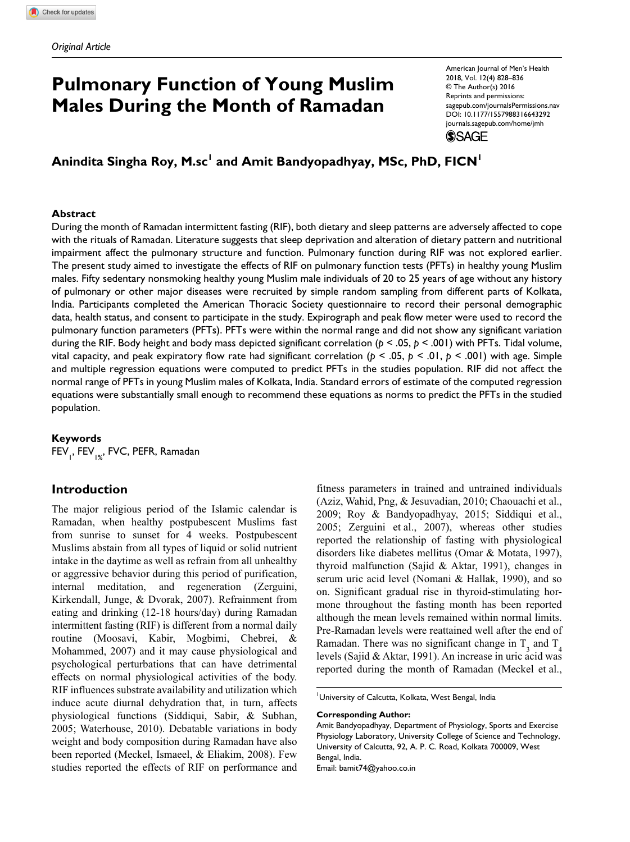# **Pulmonary Function of Young Muslim Males During the Month of Ramadan**

American Journal of Men's Health 2018, Vol. 12(4) 828–836 © The Author(s) 2016 Reprints and permissions: [sagepub.com/journalsPermissions.nav](https://sagepub.com/journalsPermissions.nav) DOI: [10.1177/1557988316643292](https://doi.org/10.1177/1557988316643292) [journals.sagepub.com/home/jmh](https://journals.sagepub.com/home/jmh) **SSAGE** 

Anindita Singha Roy, M.sc<sup>1</sup> and Amit Bandyopadhyay, MSc, PhD, FICN<sup>1</sup>

## **Abstract**

During the month of Ramadan intermittent fasting (RIF), both dietary and sleep patterns are adversely affected to cope with the rituals of Ramadan. Literature suggests that sleep deprivation and alteration of dietary pattern and nutritional impairment affect the pulmonary structure and function. Pulmonary function during RIF was not explored earlier. The present study aimed to investigate the effects of RIF on pulmonary function tests (PFTs) in healthy young Muslim males. Fifty sedentary nonsmoking healthy young Muslim male individuals of 20 to 25 years of age without any history of pulmonary or other major diseases were recruited by simple random sampling from different parts of Kolkata, India. Participants completed the American Thoracic Society questionnaire to record their personal demographic data, health status, and consent to participate in the study. Expirograph and peak flow meter were used to record the pulmonary function parameters (PFTs). PFTs were within the normal range and did not show any significant variation during the RIF. Body height and body mass depicted significant correlation (*p* < .05, *p* < .001) with PFTs. Tidal volume, vital capacity, and peak expiratory flow rate had significant correlation (*p* < .05, *p* < .01, *p* < .001) with age. Simple and multiple regression equations were computed to predict PFTs in the studies population. RIF did not affect the normal range of PFTs in young Muslim males of Kolkata, India. Standard errors of estimate of the computed regression equations were substantially small enough to recommend these equations as norms to predict the PFTs in the studied population.

## **Keywords**

FEV<sub>1</sub>, FEV<sub>1%</sub>, FVC, PEFR, Ramadan

# **Introduction**

The major religious period of the Islamic calendar is Ramadan, when healthy postpubescent Muslims fast from sunrise to sunset for 4 weeks. Postpubescent Muslims abstain from all types of liquid or solid nutrient intake in the daytime as well as refrain from all unhealthy or aggressive behavior during this period of purification, internal meditation, and regeneration (Zerguini, Kirkendall, Junge, & Dvorak, 2007). Refrainment from eating and drinking (12-18 hours/day) during Ramadan intermittent fasting (RIF) is different from a normal daily routine (Moosavi, Kabir, Mogbimi, Chebrei, & Mohammed, 2007) and it may cause physiological and psychological perturbations that can have detrimental effects on normal physiological activities of the body. RIF influences substrate availability and utilization which induce acute diurnal dehydration that, in turn, affects physiological functions (Siddiqui, Sabir, & Subhan, 2005; Waterhouse, 2010). Debatable variations in body weight and body composition during Ramadan have also been reported (Meckel, Ismaeel, & Eliakim, 2008). Few studies reported the effects of RIF on performance and fitness parameters in trained and untrained individuals (Aziz, Wahid, Png, & Jesuvadian, 2010; Chaouachi et al., 2009; Roy & Bandyopadhyay, 2015; Siddiqui et al., 2005; Zerguini et al., 2007), whereas other studies reported the relationship of fasting with physiological disorders like diabetes mellitus (Omar & Motata, 1997), thyroid malfunction (Sajid & Aktar, 1991), changes in serum uric acid level (Nomani & Hallak, 1990), and so on. Significant gradual rise in thyroid-stimulating hormone throughout the fasting month has been reported although the mean levels remained within normal limits. Pre-Ramadan levels were reattained well after the end of Ramadan. There was no significant change in  $T_3$  and  $T_4$ levels (Sajid & Aktar, 1991). An increase in uric acid was reported during the month of Ramadan (Meckel et al.,

<sup>1</sup>University of Calcutta, Kolkata, West Bengal, India

**Corresponding Author:**

Amit Bandyopadhyay, Department of Physiology, Sports and Exercise Physiology Laboratory, University College of Science and Technology, University of Calcutta, 92, A. P. C. Road, Kolkata 700009, West Bengal, India. Email: [bamit74@yahoo.co.in](mailto:bamit74@yahoo.co.in)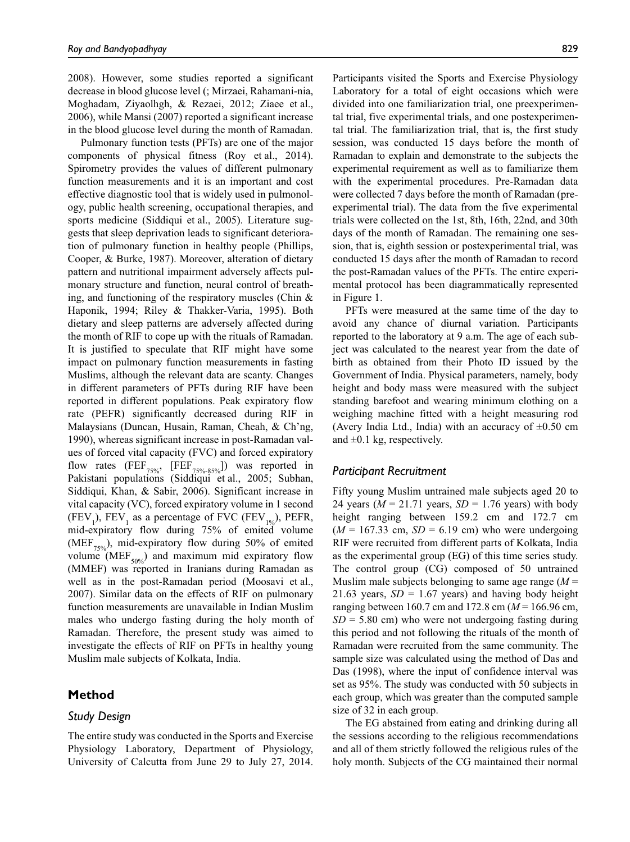2008). However, some studies reported a significant decrease in blood glucose level (; Mirzaei, Rahamani-nia, Moghadam, Ziyaolhgh, & Rezaei, 2012; Ziaee et al., 2006), while Mansi (2007) reported a significant increase in the blood glucose level during the month of Ramadan.

Pulmonary function tests (PFTs) are one of the major components of physical fitness (Roy et al., 2014). Spirometry provides the values of different pulmonary function measurements and it is an important and cost effective diagnostic tool that is widely used in pulmonology, public health screening, occupational therapies, and sports medicine (Siddiqui et al., 2005). Literature suggests that sleep deprivation leads to significant deterioration of pulmonary function in healthy people (Phillips, Cooper, & Burke, 1987). Moreover, alteration of dietary pattern and nutritional impairment adversely affects pulmonary structure and function, neural control of breathing, and functioning of the respiratory muscles (Chin & Haponik, 1994; Riley & Thakker-Varia, 1995). Both dietary and sleep patterns are adversely affected during the month of RIF to cope up with the rituals of Ramadan. It is justified to speculate that RIF might have some impact on pulmonary function measurements in fasting Muslims, although the relevant data are scanty. Changes in different parameters of PFTs during RIF have been reported in different populations. Peak expiratory flow rate (PEFR) significantly decreased during RIF in Malaysians (Duncan, Husain, Raman, Cheah, & Ch'ng, 1990), whereas significant increase in post-Ramadan values of forced vital capacity (FVC) and forced expiratory flow rates  $(FEF_{75\%}, [FEF_{75\%85\%}]$  was reported in Pakistani populations (Siddiqui et al., 2005; Subhan, Siddiqui, Khan, & Sabir, 2006). Significant increase in vital capacity (VC), forced expiratory volume in 1 second (FEV<sub>1</sub>), FEV<sub>1</sub> as a percentage of FVC (FEV<sub>1%</sub>), PEFR, mid-expiratory flow during 75% of emited volume (MEF<sub>75%</sub>), mid-expiratory flow during 50% of emited volume ( $MEF_{50\%}$ ) and maximum mid expiratory flow (MMEF) was reported in Iranians during Ramadan as well as in the post-Ramadan period (Moosavi et al., 2007). Similar data on the effects of RIF on pulmonary function measurements are unavailable in Indian Muslim males who undergo fasting during the holy month of Ramadan. Therefore, the present study was aimed to investigate the effects of RIF on PFTs in healthy young Muslim male subjects of Kolkata, India.

# **Method**

# *Study Design*

The entire study was conducted in the Sports and Exercise Physiology Laboratory, Department of Physiology, University of Calcutta from June 29 to July 27, 2014.

Participants visited the Sports and Exercise Physiology Laboratory for a total of eight occasions which were divided into one familiarization trial, one preexperimental trial, five experimental trials, and one postexperimental trial. The familiarization trial, that is, the first study session, was conducted 15 days before the month of Ramadan to explain and demonstrate to the subjects the experimental requirement as well as to familiarize them with the experimental procedures. Pre-Ramadan data were collected 7 days before the month of Ramadan (preexperimental trial). The data from the five experimental trials were collected on the 1st, 8th, 16th, 22nd, and 30th days of the month of Ramadan. The remaining one session, that is, eighth session or postexperimental trial, was conducted 15 days after the month of Ramadan to record the post-Ramadan values of the PFTs. The entire experimental protocol has been diagrammatically represented in Figure 1.

PFTs were measured at the same time of the day to avoid any chance of diurnal variation. Participants reported to the laboratory at 9 a.m. The age of each subject was calculated to the nearest year from the date of birth as obtained from their Photo ID issued by the Government of India. Physical parameters, namely, body height and body mass were measured with the subject standing barefoot and wearing minimum clothing on a weighing machine fitted with a height measuring rod (Avery India Ltd., India) with an accuracy of  $\pm 0.50$  cm and  $\pm 0.1$  kg, respectively.

## *Participant Recruitment*

Fifty young Muslim untrained male subjects aged 20 to 24 years ( $M = 21.71$  years,  $SD = 1.76$  years) with body height ranging between 159.2 cm and 172.7 cm  $(M = 167.33$  cm,  $SD = 6.19$  cm) who were undergoing RIF were recruited from different parts of Kolkata, India as the experimental group (EG) of this time series study. The control group (CG) composed of 50 untrained Muslim male subjects belonging to same age range (*M* = 21.63 years,  $SD = 1.67$  years) and having body height ranging between 160.7 cm and 172.8 cm (*M* = 166.96 cm,  $SD = 5.80$  cm) who were not undergoing fasting during this period and not following the rituals of the month of Ramadan were recruited from the same community. The sample size was calculated using the method of Das and Das (1998), where the input of confidence interval was set as 95%. The study was conducted with 50 subjects in each group, which was greater than the computed sample size of 32 in each group.

The EG abstained from eating and drinking during all the sessions according to the religious recommendations and all of them strictly followed the religious rules of the holy month. Subjects of the CG maintained their normal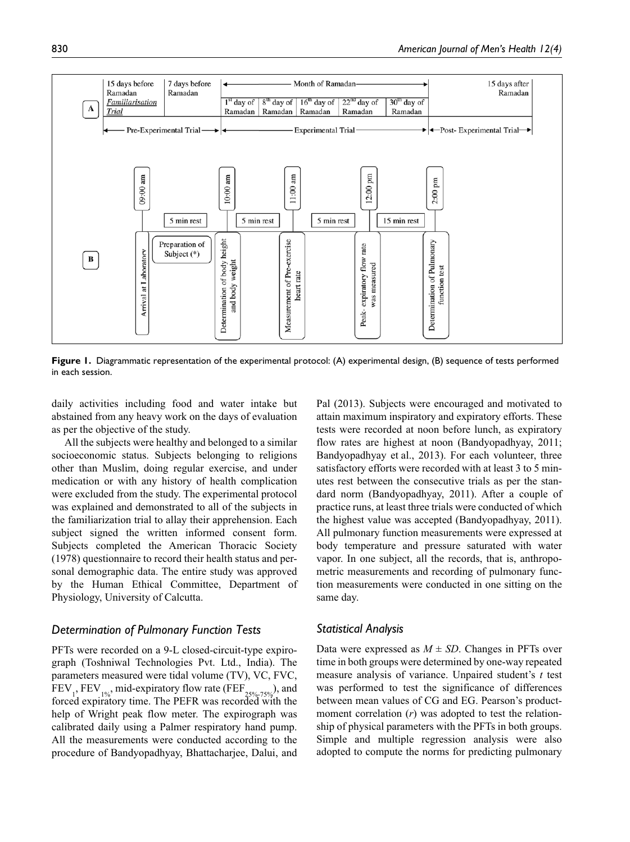

**Figure 1.** Diagrammatic representation of the experimental protocol: (A) experimental design, (B) sequence of tests performed in each session.

daily activities including food and water intake but abstained from any heavy work on the days of evaluation as per the objective of the study.

All the subjects were healthy and belonged to a similar socioeconomic status. Subjects belonging to religions other than Muslim, doing regular exercise, and under medication or with any history of health complication were excluded from the study. The experimental protocol was explained and demonstrated to all of the subjects in the familiarization trial to allay their apprehension. Each subject signed the written informed consent form. Subjects completed the American Thoracic Society (1978) questionnaire to record their health status and personal demographic data. The entire study was approved by the Human Ethical Committee, Department of Physiology, University of Calcutta.

#### *Determination of Pulmonary Function Tests*

PFTs were recorded on a 9-L closed-circuit-type expirograph (Toshniwal Technologies Pvt. Ltd., India). The parameters measured were tidal volume (TV), VC, FVC, FEV<sub>1</sub>, FEV<sub>1%</sub>, mid-expiratory flow rate (FEF<sub>25%-75%</sub>), and forced expiratory time. The PEFR was recorded with the help of Wright peak flow meter. The expirograph was calibrated daily using a Palmer respiratory hand pump. All the measurements were conducted according to the procedure of Bandyopadhyay, Bhattacharjee, Dalui, and

Pal (2013). Subjects were encouraged and motivated to attain maximum inspiratory and expiratory efforts. These tests were recorded at noon before lunch, as expiratory flow rates are highest at noon (Bandyopadhyay, 2011; Bandyopadhyay et al., 2013). For each volunteer, three satisfactory efforts were recorded with at least 3 to 5 minutes rest between the consecutive trials as per the standard norm (Bandyopadhyay, 2011). After a couple of practice runs, at least three trials were conducted of which the highest value was accepted (Bandyopadhyay, 2011). All pulmonary function measurements were expressed at body temperature and pressure saturated with water vapor. In one subject, all the records, that is, anthropometric measurements and recording of pulmonary function measurements were conducted in one sitting on the same day.

#### *Statistical Analysis*

Data were expressed as  $M \pm SD$ . Changes in PFTs over time in both groups were determined by one-way repeated measure analysis of variance. Unpaired student's *t* test was performed to test the significance of differences between mean values of CG and EG. Pearson's productmoment correlation (*r*) was adopted to test the relationship of physical parameters with the PFTs in both groups. Simple and multiple regression analysis were also adopted to compute the norms for predicting pulmonary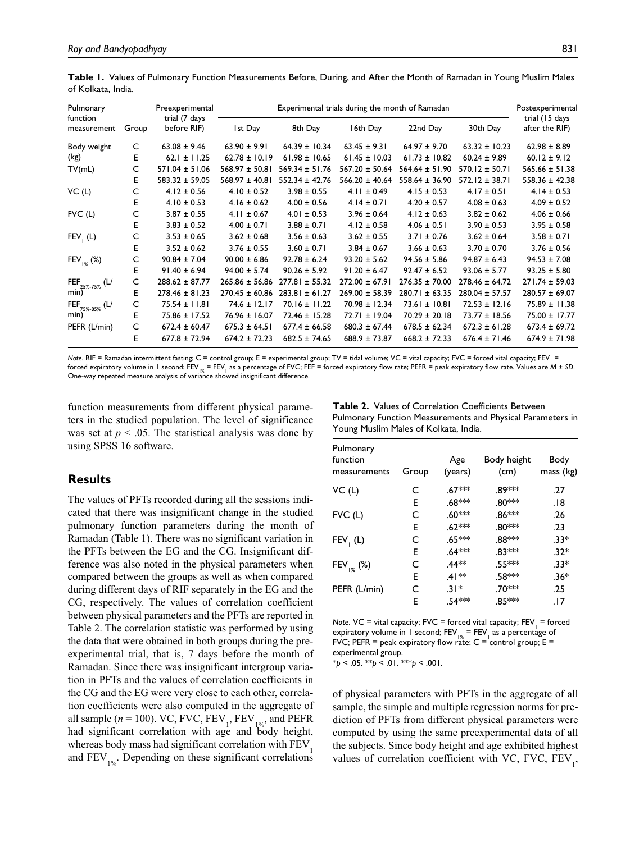| Pulmonary                          |       | Preexperimental              | Experimental trials during the month of Ramadan |                    |                    |                    |                    | Postexperimental                 |
|------------------------------------|-------|------------------------------|-------------------------------------------------|--------------------|--------------------|--------------------|--------------------|----------------------------------|
| function<br>measurement            | Group | trial (7 days<br>before RIF) | Ist Day                                         | 8th Day            | 16th Day           | 22nd Day           | 30th Day           | trial (15 days<br>after the RIF) |
| Body weight                        | C     | $63.08 \pm 9.46$             | $63.90 \pm 9.91$                                | $64.39 \pm 10.34$  | $63.45 \pm 9.31$   | $64.97 \pm 9.70$   | $63.32 \pm 10.23$  | $62.98 \pm 8.89$                 |
| (kg)                               | Е     | $62.1 \pm 11.25$             | $62.78 \pm 10.19$                               | $61.98 \pm 10.65$  | $61.45 \pm 10.03$  | $61.73 \pm 10.82$  | $60.24 \pm 9.89$   | $60.12 \pm 9.12$                 |
| TV(mL)                             | C     | $571.04 \pm 51.06$           | $568.97 \pm 50.81$                              | $569.34 \pm 51.76$ | $567.20 \pm 50.64$ | $564.64 \pm 51.90$ | $570.12 \pm 50.71$ | $565.66 \pm 51.38$               |
|                                    | E     | $583.32 \pm 59.05$           | $568.97 \pm 40.81$                              | $552.34 \pm 42.76$ | $566.20 \pm 40.64$ | $558.64 \pm 36.90$ | $572.12 \pm 38.71$ | $558.36 \pm 42.38$               |
| VC(L)                              | C     | $4.12 \pm 0.56$              | $4.10 \pm 0.52$                                 | $3.98 \pm 0.55$    | $4.11 \pm 0.49$    | $4.15 \pm 0.53$    | $4.17 \pm 0.51$    | $4.14 \pm 0.53$                  |
|                                    | Е     | $4.10 \pm 0.53$              | $4.16 \pm 0.62$                                 | $4.00 \pm 0.56$    | $4.14 \pm 0.71$    | $4.20 \pm 0.57$    | $4.08 \pm 0.63$    | $4.09 \pm 0.52$                  |
| $FVC$ (L)                          | C     | $3.87 \pm 0.55$              | $4.11 \pm 0.67$                                 | $4.01 \pm 0.53$    | $3.96 \pm 0.64$    | $4.12 \pm 0.63$    | $3.82 \pm 0.62$    | $4.06 \pm 0.66$                  |
|                                    | Е     | $3.83 \pm 0.52$              | $4.00 \pm 0.71$                                 | $3.88 \pm 0.71$    | $4.12 \pm 0.58$    | $4.06 \pm 0.51$    | $3.90 \pm 0.53$    | $3.95 \pm 0.58$                  |
| $FEV_{1}$ (L)                      | C     | $3.53 \pm 0.65$              | $3.62 \pm 0.68$                                 | $3.56 \pm 0.63$    | $3.62 \pm 0.55$    | $3.71 \pm 0.76$    | $3.62 \pm 0.64$    | $3.58 \pm 0.71$                  |
|                                    | E     | $3.52 \pm 0.62$              | $3.76 \pm 0.55$                                 | $3.60 \pm 0.71$    | $3.84 \pm 0.67$    | $3.66 \pm 0.63$    | $3.70 \pm 0.70$    | $3.76 \pm 0.56$                  |
| $FEV_{1%}$ (%)                     | C     | $90.84 \pm 7.04$             | $90.00 \pm 6.86$                                | $92.78 \pm 6.24$   | $93.20 \pm 5.62$   | $94.56 \pm 5.86$   | $94.87 \pm 6.43$   | $94.53 \pm 7.08$                 |
|                                    | E     | $91.40 \pm 6.94$             | $94.00 \pm 5.74$                                | $90.26 \pm 5.92$   | $91.20 \pm 6.47$   | $92.47 \pm 6.52$   | $93.06 \pm 5.77$   | $93.25 \pm 5.80$                 |
| FEF <sub>25%-75%</sub> (L/<br>min) | C     | $288.62 \pm 87.77$           | $265.86 \pm 56.86$                              | $277.81 \pm 55.32$ | $272.00 \pm 67.91$ | $276.35 \pm 70.00$ | $278.46 \pm 64.72$ | $271.74 \pm 59.03$               |
|                                    | E     | $278.46 \pm 81.23$           | $270.45 \pm 60.86$                              | $283.81 \pm 61.27$ | $269.00 \pm 58.39$ | $280.71 \pm 63.35$ | $280.04 \pm 57.57$ | $280.57 \pm 69.07$               |
| $FEF_{75\%-85\%}$ (L/<br>min)      | C     | $75.54 \pm 11.81$            | $74.6 \pm 12.17$                                | $70.16 \pm 11.22$  | $70.98 \pm 12.34$  | $73.61 \pm 10.81$  | $72.53 \pm 12.16$  | $75.89 \pm 11.38$                |
|                                    | Е     | 75.86 ± 17.52                | $76.96 \pm 16.07$                               | $72.46 \pm 15.28$  | $72.71 \pm 19.04$  | $70.29 \pm 20.18$  | $73.77 \pm 18.56$  | 75.00 ± 17.77                    |
| PEFR (L/min)                       | C     | $672.4 \pm 60.47$            | $675.3 \pm 64.51$                               | $677.4 \pm 66.58$  | $680.3 \pm 67.44$  | $678.5 \pm 62.34$  | $672.3 \pm 61.28$  | $673.4 \pm 69.72$                |
|                                    | E     | $677.8 \pm 72.94$            | $674.2 \pm 72.23$                               | $682.5 \pm 74.65$  | $688.9 \pm 73.87$  | $668.2 \pm 72.33$  | $676.4 \pm 71.46$  | $674.9 \pm 71.98$                |

**Table 1.** Values of Pulmonary Function Measurements Before, During, and After the Month of Ramadan in Young Muslim Males of Kolkata, India.

*Note.* RIF = Ramadan intermittent fasting; C = control group; E = experimental group; TV = tidal volume; VC = vital capacity; FVC = forced vital capacity; FEV<sub>1</sub> = forced expiratory volume in 1 second; FEV<sub>1 as</sub> a percentage of FVC; FEF = forced expiratory flow rate; PEFR = peak expiratory flow rate. Values are *M* ± *SD*. One-way repeated measure analysis of variance showed insignificant difference.

function measurements from different physical parameters in the studied population. The level of significance was set at  $p < .05$ . The statistical analysis was done by using SPSS 16 software.

# **Results**

The values of PFTs recorded during all the sessions indicated that there was insignificant change in the studied pulmonary function parameters during the month of Ramadan (Table 1). There was no significant variation in the PFTs between the EG and the CG. Insignificant difference was also noted in the physical parameters when compared between the groups as well as when compared during different days of RIF separately in the EG and the CG, respectively. The values of correlation coefficient between physical parameters and the PFTs are reported in Table 2. The correlation statistic was performed by using the data that were obtained in both groups during the preexperimental trial, that is, 7 days before the month of Ramadan. Since there was insignificant intergroup variation in PFTs and the values of correlation coefficients in the CG and the EG were very close to each other, correlation coefficients were also computed in the aggregate of all sample ( $n = 100$ ). VC, FVC, FEV<sub>1</sub>, FEV<sub>1%</sub>, and PEFR had significant correlation with age and body height, whereas body mass had significant correlation with FEV<sub>1</sub> and  $FEV_{1%}$ . Depending on these significant correlations

**Table 2.** Values of Correlation Coefficients Between Pulmonary Function Measurements and Physical Parameters in Young Muslim Males of Kolkata, India.

| Pulmonary<br>function<br>measurements | Group | Age<br>(years)     | Body height<br>(cm) | Body<br>mass (kg) |
|---------------------------------------|-------|--------------------|---------------------|-------------------|
| VC (L)                                | C     | .67***             | .89∗∗∗              | .27               |
|                                       | E     | .68***             | .80***              | 18.               |
| $FVC$ (L)                             | C     | .60***             | .86***              | .26               |
|                                       | E     | .62***             | .80***              | .23               |
| $FEV1$ (L)                            | C     | .65***             | .88***              | $.33*$            |
|                                       | E     | .64 <sup>***</sup> | .83***              | $.32*$            |
| $FEV_{1%}^{\prime}$ (%)               | C     | .44**              | .55***              | $.33*$            |
|                                       | E     | $.41**$            | .58 <sup>***</sup>  | $.36*$            |
| PEFR (L/min)                          | C     | $.31*$             | .70***              | .25               |
|                                       | F     | .54 <sup>***</sup> | .85 ***             | . 17              |

*Note.* VC = vital capacity; FVC = forced vital capacity; FEV<sub>1</sub> = forced expiratory volume in 1 second;  $FEV_{1%} = FEV_{1}$  as a percentage of FVC; PEFR = peak expiratory flow rate;  $C =$  control group;  $E =$ experimental group.

\**p* < .05. \*\**p* < .01. \*\*\**p* < .001.

of physical parameters with PFTs in the aggregate of all sample, the simple and multiple regression norms for prediction of PFTs from different physical parameters were computed by using the same preexperimental data of all the subjects. Since body height and age exhibited highest values of correlation coefficient with VC, FVC,  $FEV_{1}$ ,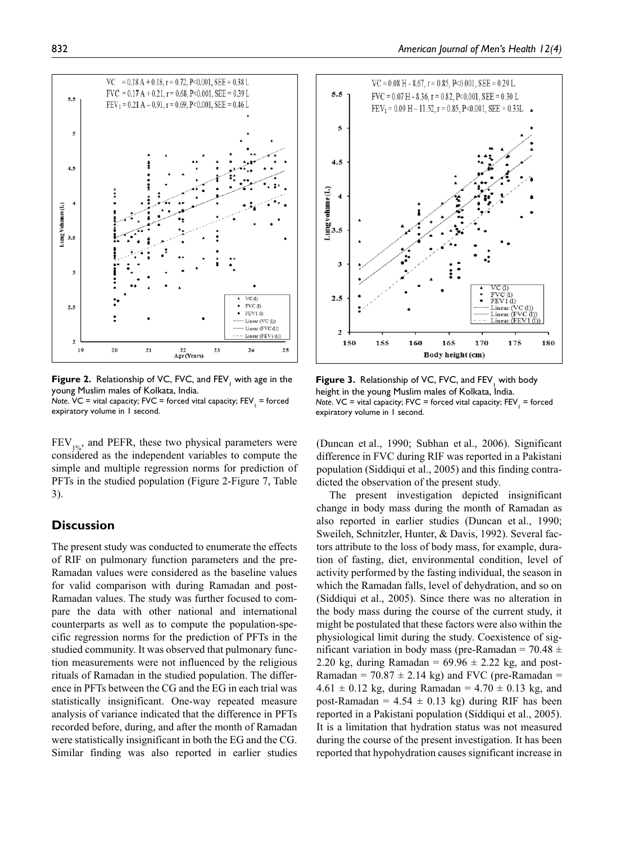

**Figure 2.** Relationship of VC, FVC, and  $FEV_1$  with age in the young Muslim males of Kolkata, India. *Note*. VC = vital capacity; FVC = forced vital capacity; FEV1 = forced expiratory volume in 1 second.

 $FEV<sub>10</sub>$ , and PEFR, these two physical parameters were considered as the independent variables to compute the simple and multiple regression norms for prediction of PFTs in the studied population (Figure 2-Figure 7, Table 3).

# **Discussion**

The present study was conducted to enumerate the effects of RIF on pulmonary function parameters and the pre-Ramadan values were considered as the baseline values for valid comparison with during Ramadan and post-Ramadan values. The study was further focused to compare the data with other national and international counterparts as well as to compute the population-specific regression norms for the prediction of PFTs in the studied community. It was observed that pulmonary function measurements were not influenced by the religious rituals of Ramadan in the studied population. The difference in PFTs between the CG and the EG in each trial was statistically insignificant. One-way repeated measure analysis of variance indicated that the difference in PFTs recorded before, during, and after the month of Ramadan were statistically insignificant in both the EG and the CG. Similar finding was also reported in earlier studies



**Figure 3.** Relationship of VC, FVC, and FEV<sub>1</sub> with body height in the young Muslim males of Kolkata, India. *Note*. VC = vital capacity; FVC = forced vital capacity; FEV1 = forced expiratory volume in 1 second.

(Duncan et al., 1990; Subhan et al., 2006). Significant difference in FVC during RIF was reported in a Pakistani population (Siddiqui et al., 2005) and this finding contradicted the observation of the present study.

The present investigation depicted insignificant change in body mass during the month of Ramadan as also reported in earlier studies (Duncan et al., 1990; Sweileh, Schnitzler, Hunter, & Davis, 1992). Several factors attribute to the loss of body mass, for example, duration of fasting, diet, environmental condition, level of activity performed by the fasting individual, the season in which the Ramadan falls, level of dehydration, and so on (Siddiqui et al., 2005). Since there was no alteration in the body mass during the course of the current study, it might be postulated that these factors were also within the physiological limit during the study. Coexistence of significant variation in body mass (pre-Ramadan =  $70.48 \pm$ 2.20 kg, during Ramadan =  $69.96 \pm 2.22$  kg, and post-Ramadan =  $70.87 \pm 2.14$  kg) and FVC (pre-Ramadan =  $4.61 \pm 0.12$  kg, during Ramadan =  $4.70 \pm 0.13$  kg, and post-Ramadan =  $4.54 \pm 0.13$  kg) during RIF has been reported in a Pakistani population (Siddiqui et al., 2005). It is a limitation that hydration status was not measured during the course of the present investigation. It has been reported that hypohydration causes significant increase in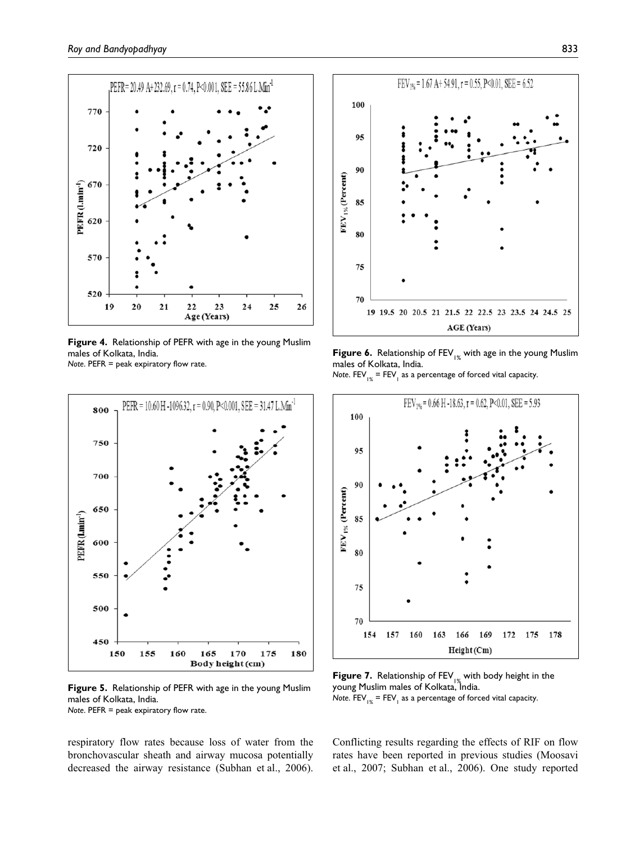

**Figure 4.** Relationship of PEFR with age in the young Muslim males of Kolkata, India.

*Note*. PEFR = peak expiratory flow rate.



**Figure 5.** Relationship of PEFR with age in the young Muslim males of Kolkata, India. *Note*. PEFR = peak expiratory flow rate.

respiratory flow rates because loss of water from the bronchovascular sheath and airway mucosa potentially decreased the airway resistance (Subhan et al., 2006).



**Figure 6.** Relationship of FEV<sub>1%</sub> with age in the young Muslim males of Kolkata, India.

 $\mathsf{Note.}\ \mathsf{FEV}_{_{|\mathbb{X}}}$  =  $\mathsf{FEV}_{_{1}}$  as a percentage of forced vital capacity.



**Figure 7.** Relationship of FEV<sub>1%</sub> with body height in the young Muslim males of Kolkata, India.  $\mathsf{Note.}\ \mathsf{FEV}_{_{|\mathbb{X}}}$  =  $\mathsf{FEV}_{_{1}}$  as a percentage of forced vital capacity.

Conflicting results regarding the effects of RIF on flow rates have been reported in previous studies (Moosavi et al., 2007; Subhan et al., 2006). One study reported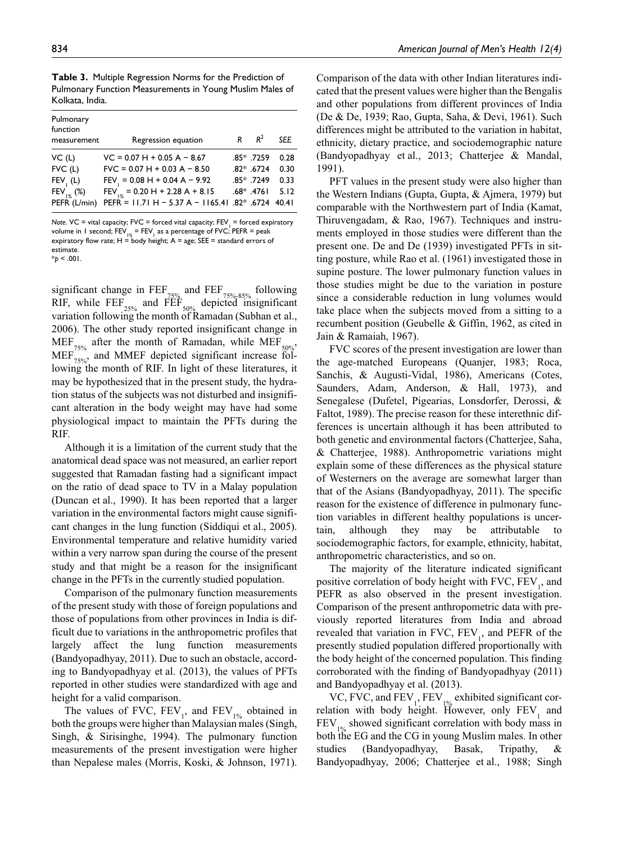**Table 3.** Multiple Regression Norms for the Prediction of Pulmonary Function Measurements in Young Muslim Males of Kolkata, India.

| Pulmonary<br>function<br>measurement | Regression equation                                            | R | $R^2$        | <b>SEE</b> |
|--------------------------------------|----------------------------------------------------------------|---|--------------|------------|
| VC(L)                                | $VC = 0.07 H + 0.05 A - 8.67$                                  |   | $.85*$ .7259 | 0.28       |
| $FVC$ (L)                            | $FVC = 0.07 H + 0.03 A - 8.50$                                 |   | $.82*$ .6724 | 0.30       |
| $FEV_{1}(L)$                         | FEV = $0.08$ H + 0.04 A - 9.92                                 |   | $.85*$ .7249 | 0.33       |
| FEV $(%)$                            | $FEV_{1%}$ = 0.20 H + 2.28 A + 8.15                            |   | $.68*$ .4761 | 5.12       |
| PEFR (L/min)                         | PEFR = 11.71 H - 5.37 A - 1165.41 .82 <sup>*</sup> .6724 40.41 |   |              |            |

Note. VC = vital capacity; FVC = forced vital capacity; FEV<sub>1</sub> = forced expiratory volume in 1 second;  $FEV_{1%}$  =  $FEV_1$  as a percentage of FVC; PEFR = peak expiratory flow rate;  $H =$  body height;  $A = age$ ; SEE = standard errors of estimate

 $*_{p}$  < .001.

significant change in  $\overline{\text{FEF}}_{75\%}$  and  $\overline{\text{FEF}}_{75\%}$  ss% following RIF, while  $\overline{FEF}_{25\%}$  and  $\overline{FEF}_{50\%}$  depicted insignificant variation following the month of Ramadan (Subhan et al., 2006). The other study reported insignificant change in  $MEF_{75\%}$  after the month of Ramadan, while  $MEF_{50\%}$ , MEF<sub>75%</sub>, and MMEF depicted significant increase following the month of RIF. In light of these literatures, it may be hypothesized that in the present study, the hydration status of the subjects was not disturbed and insignificant alteration in the body weight may have had some physiological impact to maintain the PFTs during the RIF.

Although it is a limitation of the current study that the anatomical dead space was not measured, an earlier report suggested that Ramadan fasting had a significant impact on the ratio of dead space to TV in a Malay population (Duncan et al., 1990). It has been reported that a larger variation in the environmental factors might cause significant changes in the lung function (Siddiqui et al., 2005). Environmental temperature and relative humidity varied within a very narrow span during the course of the present study and that might be a reason for the insignificant change in the PFTs in the currently studied population.

Comparison of the pulmonary function measurements of the present study with those of foreign populations and those of populations from other provinces in India is difficult due to variations in the anthropometric profiles that largely affect the lung function measurements (Bandyopadhyay, 2011). Due to such an obstacle, according to Bandyopadhyay et al. (2013), the values of PFTs reported in other studies were standardized with age and height for a valid comparison.

The values of FVC,  $FEV_1$ , and  $FEV_{1\%}$  obtained in both the groups were higher than Malaysian males (Singh, Singh, & Sirisinghe, 1994). The pulmonary function measurements of the present investigation were higher than Nepalese males (Morris, Koski, & Johnson, 1971).

Comparison of the data with other Indian literatures indicated that the present values were higher than the Bengalis and other populations from different provinces of India (De & De, 1939; Rao, Gupta, Saha, & Devi, 1961). Such differences might be attributed to the variation in habitat, ethnicity, dietary practice, and sociodemographic nature (Bandyopadhyay et al., 2013; Chatterjee & Mandal, 1991).

PFT values in the present study were also higher than the Western Indians (Gupta, Gupta, & Ajmera, 1979) but comparable with the Northwestern part of India (Kamat, Thiruvengadam, & Rao, 1967). Techniques and instruments employed in those studies were different than the present one. De and De (1939) investigated PFTs in sitting posture, while Rao et al. (1961) investigated those in supine posture. The lower pulmonary function values in those studies might be due to the variation in posture since a considerable reduction in lung volumes would take place when the subjects moved from a sitting to a recumbent position (Geubelle & Giffin, 1962, as cited in Jain & Ramaiah, 1967).

FVC scores of the present investigation are lower than the age-matched Europeans (Quanjer, 1983; Roca, Sanchis, & Augusti-Vidal, 1986), Americans (Cotes, Saunders, Adam, Anderson, & Hall, 1973), and Senegalese (Dufetel, Pigearias, Lonsdorfer, Derossi, & Faltot, 1989). The precise reason for these interethnic differences is uncertain although it has been attributed to both genetic and environmental factors (Chatterjee, Saha, & Chatterjee, 1988). Anthropometric variations might explain some of these differences as the physical stature of Westerners on the average are somewhat larger than that of the Asians (Bandyopadhyay, 2011). The specific reason for the existence of difference in pulmonary function variables in different healthy populations is uncertain, although they may be attributable to sociodemographic factors, for example, ethnicity, habitat, anthropometric characteristics, and so on.

The majority of the literature indicated significant positive correlation of body height with FVC,  $FEV_1$ , and PEFR as also observed in the present investigation. Comparison of the present anthropometric data with previously reported literatures from India and abroad revealed that variation in FVC,  $FEV_1$ , and PEFR of the presently studied population differed proportionally with the body height of the concerned population. This finding corroborated with the finding of Bandyopadhyay (2011) and Bandyopadhyay et al. (2013).

VC, FVC, and  $FEV_1$ ,  $FEV_{1%}$  exhibited significant correlation with body height. However, only  $FEV_1$  and  $FEV<sub>10</sub>$  showed significant correlation with body mass in both the EG and the CG in young Muslim males. In other studies (Bandyopadhyay, Basak, Tripathy, & Bandyopadhyay, 2006; Chatterjee et al., 1988; Singh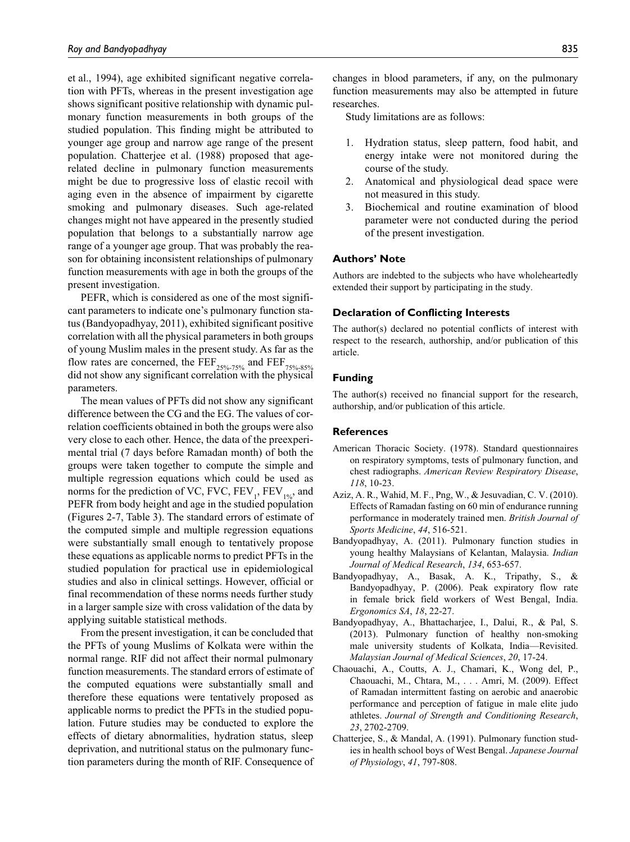et al., 1994), age exhibited significant negative correlation with PFTs, whereas in the present investigation age shows significant positive relationship with dynamic pulmonary function measurements in both groups of the studied population. This finding might be attributed to younger age group and narrow age range of the present population. Chatterjee et al. (1988) proposed that agerelated decline in pulmonary function measurements might be due to progressive loss of elastic recoil with aging even in the absence of impairment by cigarette smoking and pulmonary diseases. Such age-related changes might not have appeared in the presently studied population that belongs to a substantially narrow age range of a younger age group. That was probably the reason for obtaining inconsistent relationships of pulmonary function measurements with age in both the groups of the present investigation.

PEFR, which is considered as one of the most significant parameters to indicate one's pulmonary function status (Bandyopadhyay, 2011), exhibited significant positive correlation with all the physical parameters in both groups of young Muslim males in the present study. As far as the flow rates are concerned, the  $\overline{FEF}_{25\%-75\%}$  and  $\overline{FEF}_{75\%-85\%}$ did not show any significant correlation with the physical parameters.

The mean values of PFTs did not show any significant difference between the CG and the EG. The values of correlation coefficients obtained in both the groups were also very close to each other. Hence, the data of the preexperimental trial (7 days before Ramadan month) of both the groups were taken together to compute the simple and multiple regression equations which could be used as norms for the prediction of VC, FVC,  $FEV_1$ ,  $FEV_{1\%}$ , and PEFR from body height and age in the studied population (Figures 2-7, Table 3). The standard errors of estimate of the computed simple and multiple regression equations were substantially small enough to tentatively propose these equations as applicable norms to predict PFTs in the studied population for practical use in epidemiological studies and also in clinical settings. However, official or final recommendation of these norms needs further study in a larger sample size with cross validation of the data by applying suitable statistical methods.

From the present investigation, it can be concluded that the PFTs of young Muslims of Kolkata were within the normal range. RIF did not affect their normal pulmonary function measurements. The standard errors of estimate of the computed equations were substantially small and therefore these equations were tentatively proposed as applicable norms to predict the PFTs in the studied population. Future studies may be conducted to explore the effects of dietary abnormalities, hydration status, sleep deprivation, and nutritional status on the pulmonary function parameters during the month of RIF. Consequence of changes in blood parameters, if any, on the pulmonary function measurements may also be attempted in future researches.

Study limitations are as follows:

- 1. Hydration status, sleep pattern, food habit, and energy intake were not monitored during the course of the study.
- 2. Anatomical and physiological dead space were not measured in this study.
- 3. Biochemical and routine examination of blood parameter were not conducted during the period of the present investigation.

#### **Authors' Note**

Authors are indebted to the subjects who have wholeheartedly extended their support by participating in the study.

#### **Declaration of Conflicting Interests**

The author(s) declared no potential conflicts of interest with respect to the research, authorship, and/or publication of this article.

## **Funding**

The author(s) received no financial support for the research, authorship, and/or publication of this article.

#### **References**

- American Thoracic Society. (1978). Standard questionnaires on respiratory symptoms, tests of pulmonary function, and chest radiographs. *American Review Respiratory Disease*, *118*, 10-23.
- Aziz, A. R., Wahid, M. F., Png, W., & Jesuvadian, C. V. (2010). Effects of Ramadan fasting on 60 min of endurance running performance in moderately trained men. *British Journal of Sports Medicine*, *44*, 516-521.
- Bandyopadhyay, A. (2011). Pulmonary function studies in young healthy Malaysians of Kelantan, Malaysia. *Indian Journal of Medical Research*, *134*, 653-657.
- Bandyopadhyay, A., Basak, A. K., Tripathy, S., & Bandyopadhyay, P. (2006). Peak expiratory flow rate in female brick field workers of West Bengal, India. *Ergonomics SA*, *18*, 22-27.
- Bandyopadhyay, A., Bhattacharjee, I., Dalui, R., & Pal, S. (2013). Pulmonary function of healthy non-smoking male university students of Kolkata, India—Revisited. *Malaysian Journal of Medical Sciences*, *20*, 17-24.
- Chaouachi, A., Coutts, A. J., Chamari, K., Wong del, P., Chaouachi, M., Chtara, M., . . . Amri, M. (2009). Effect of Ramadan intermittent fasting on aerobic and anaerobic performance and perception of fatigue in male elite judo athletes. *Journal of Strength and Conditioning Research*, *23*, 2702-2709.
- Chatterjee, S., & Mandal, A. (1991). Pulmonary function studies in health school boys of West Bengal. *Japanese Journal of Physiology*, *41*, 797-808.